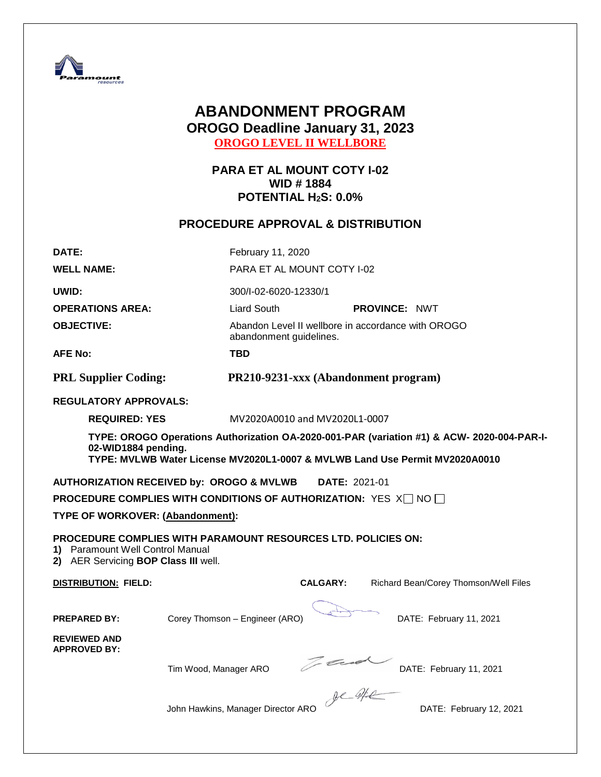

# **ABANDONMENT PROGRAM OROGO Deadline January 31, 2023 OROGO LEVEL II WELLBORE**

**PARA ET AL MOUNT COTY I-02 WID # 1884 POTENTIAL H2S: 0.0%**

# **PROCEDURE APPROVAL & DISTRIBUTION**

| DATE:                                                                    | February 11, 2020                                                                                                                                                                                |                                                    |                      |                                       |  |  |  |
|--------------------------------------------------------------------------|--------------------------------------------------------------------------------------------------------------------------------------------------------------------------------------------------|----------------------------------------------------|----------------------|---------------------------------------|--|--|--|
| <b>WELL NAME:</b>                                                        |                                                                                                                                                                                                  | PARA ET AL MOUNT COTY I-02                         |                      |                                       |  |  |  |
| UWID:                                                                    |                                                                                                                                                                                                  | 300/I-02-6020-12330/1                              |                      |                                       |  |  |  |
| <b>OPERATIONS AREA:</b>                                                  | Liard South                                                                                                                                                                                      |                                                    | <b>PROVINCE: NWT</b> |                                       |  |  |  |
| <b>OBJECTIVE:</b>                                                        | abandonment guidelines.                                                                                                                                                                          | Abandon Level II wellbore in accordance with OROGO |                      |                                       |  |  |  |
| <b>AFE No:</b>                                                           | <b>TBD</b>                                                                                                                                                                                       |                                                    |                      |                                       |  |  |  |
| <b>PRL Supplier Coding:</b>                                              |                                                                                                                                                                                                  | PR210-9231-xxx (Abandonment program)               |                      |                                       |  |  |  |
| <b>REGULATORY APPROVALS:</b>                                             |                                                                                                                                                                                                  |                                                    |                      |                                       |  |  |  |
| <b>REQUIRED: YES</b>                                                     |                                                                                                                                                                                                  | MV2020A0010 and MV2020L1-0007                      |                      |                                       |  |  |  |
|                                                                          | TYPE: OROGO Operations Authorization OA-2020-001-PAR (variation #1) & ACW- 2020-004-PAR-I-<br>02-WID1884 pending.<br>TYPE: MVLWB Water License MV2020L1-0007 & MVLWB Land Use Permit MV2020A0010 |                                                    |                      |                                       |  |  |  |
|                                                                          | <b>AUTHORIZATION RECEIVED by: OROGO &amp; MVLWB</b>                                                                                                                                              | DATE: 2021-01                                      |                      |                                       |  |  |  |
|                                                                          | <b>PROCEDURE COMPLIES WITH CONDITIONS OF AUTHORIZATION:</b> YES $X \square N$ O $\square$                                                                                                        |                                                    |                      |                                       |  |  |  |
| TYPE OF WORKOVER: (Abandonment):                                         |                                                                                                                                                                                                  |                                                    |                      |                                       |  |  |  |
| 1) Paramount Well Control Manual<br>2) AER Servicing BOP Class III well. | <b>PROCEDURE COMPLIES WITH PARAMOUNT RESOURCES LTD. POLICIES ON:</b>                                                                                                                             |                                                    |                      |                                       |  |  |  |
| <b>DISTRIBUTION: FIELD:</b>                                              |                                                                                                                                                                                                  | <b>CALGARY:</b>                                    |                      | Richard Bean/Corey Thomson/Well Files |  |  |  |
| <b>PREPARED BY:</b><br><b>REVIEWED AND</b>                               | Corey Thomson - Engineer (ARO)                                                                                                                                                                   |                                                    |                      | DATE: February 11, 2021               |  |  |  |
| <b>APPROVED BY:</b>                                                      | Tim Wood, Manager ARO                                                                                                                                                                            | Tad                                                |                      | DATE: February 11, 2021               |  |  |  |
|                                                                          | John Hawkins, Manager Director ARO                                                                                                                                                               | phantedthe                                         |                      | DATE: February 12, 2021               |  |  |  |

 $\overline{a}$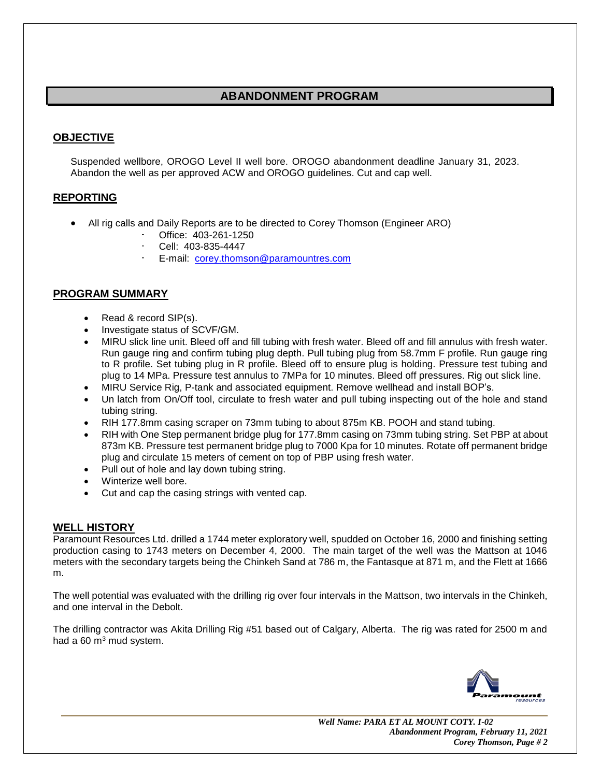# **ABANDONMENT PROGRAM**

# **OBJECTIVE**

Suspended wellbore, OROGO Level II well bore. OROGO abandonment deadline January 31, 2023. Abandon the well as per approved ACW and OROGO guidelines. Cut and cap well.

## **REPORTING**

- All rig calls and Daily Reports are to be directed to Corey Thomson (Engineer ARO)
	- Office: 403-261-1250
	- Cell: 403-835-4447
	- E-mail: [corey.thomson@paramountres.com](mailto:corey.thomson@paramountres.com)

## **PROGRAM SUMMARY**

- Read & record SIP(s).
- Investigate status of SCVF/GM.
- MIRU slick line unit. Bleed off and fill tubing with fresh water. Bleed off and fill annulus with fresh water. Run gauge ring and confirm tubing plug depth. Pull tubing plug from 58.7mm F profile. Run gauge ring to R profile. Set tubing plug in R profile. Bleed off to ensure plug is holding. Pressure test tubing and plug to 14 MPa. Pressure test annulus to 7MPa for 10 minutes. Bleed off pressures. Rig out slick line.
- MIRU Service Rig, P-tank and associated equipment. Remove wellhead and install BOP's.
- Un latch from On/Off tool, circulate to fresh water and pull tubing inspecting out of the hole and stand tubing string.
- RIH 177.8mm casing scraper on 73mm tubing to about 875m KB. POOH and stand tubing.
- RIH with One Step permanent bridge plug for 177.8mm casing on 73mm tubing string. Set PBP at about 873m KB. Pressure test permanent bridge plug to 7000 Kpa for 10 minutes. Rotate off permanent bridge plug and circulate 15 meters of cement on top of PBP using fresh water.
- Pull out of hole and lay down tubing string.
- Winterize well bore.
- Cut and cap the casing strings with vented cap.

## **WELL HISTORY**

Paramount Resources Ltd. drilled a 1744 meter exploratory well, spudded on October 16, 2000 and finishing setting production casing to 1743 meters on December 4, 2000. The main target of the well was the Mattson at 1046 meters with the secondary targets being the Chinkeh Sand at 786 m, the Fantasque at 871 m, and the Flett at 1666 m.

The well potential was evaluated with the drilling rig over four intervals in the Mattson, two intervals in the Chinkeh, and one interval in the Debolt.

The drilling contractor was Akita Drilling Rig #51 based out of Calgary, Alberta. The rig was rated for 2500 m and had a  $60 \text{ m}^3$  mud system.

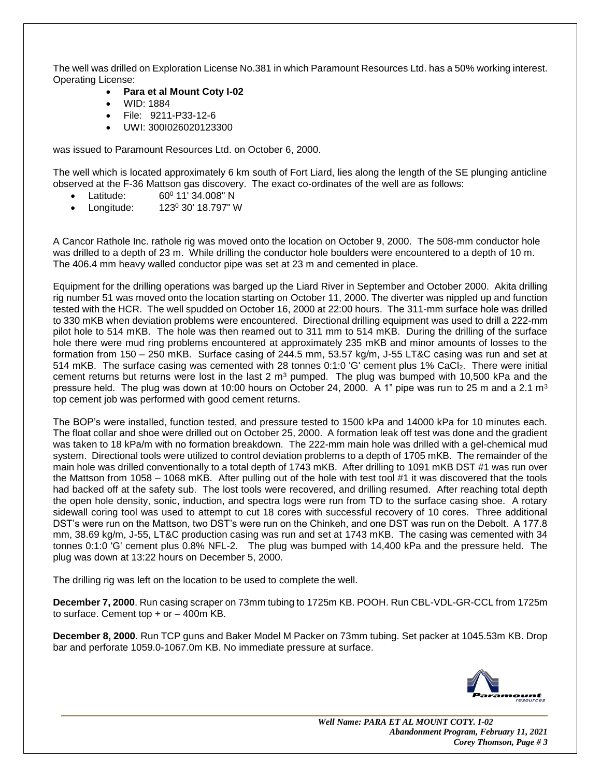The well was drilled on Exploration License No.381 in which Paramount Resources Ltd. has a 50% working interest. Operating License:

- **Para et al Mount Coty I-02**
- WID: 1884
- File: 9211-P33-12-6
- UWI: 300I026020123300

was issued to Paramount Resources Ltd. on October 6, 2000.

The well which is located approximately 6 km south of Fort Liard, lies along the length of the SE plunging anticline observed at the F-36 Mattson gas discovery. The exact co-ordinates of the well are as follows:

- Latitude: 60º 11' 34.008" N
- Longitude: 123<sup>0</sup> 30' 18.797" W

A Cancor Rathole Inc. rathole rig was moved onto the location on October 9, 2000. The 508-mm conductor hole was drilled to a depth of 23 m. While drilling the conductor hole boulders were encountered to a depth of 10 m. The 406.4 mm heavy walled conductor pipe was set at 23 m and cemented in place.

Equipment for the drilling operations was barged up the Liard River in September and October 2000. Akita drilling rig number 51 was moved onto the location starting on October 11, 2000. The diverter was nippled up and function tested with the HCR. The well spudded on October 16, 2000 at 22:00 hours. The 311-mm surface hole was drilled to 330 mKB when deviation problems were encountered. Directional drilling equipment was used to drill a 222-mm pilot hole to 514 mKB. The hole was then reamed out to 311 mm to 514 mKB. During the drilling of the surface hole there were mud ring problems encountered at approximately 235 mKB and minor amounts of losses to the formation from 150 – 250 mKB. Surface casing of 244.5 mm, 53.57 kg/m, J-55 LT&C casing was run and set at 514 mKB. The surface casing was cemented with 28 tonnes 0:1:0 'G' cement plus 1% CaCl2. There were initial cement returns but returns were lost in the last 2  $\text{m}^3$  pumped. The plug was bumped with 10,500 kPa and the pressure held. The plug was down at 10:00 hours on October 24, 2000. A 1" pipe was run to 25 m and a 2.1 m<sup>3</sup> top cement job was performed with good cement returns.

The BOP's were installed, function tested, and pressure tested to 1500 kPa and 14000 kPa for 10 minutes each. The float collar and shoe were drilled out on October 25, 2000. A formation leak off test was done and the gradient was taken to 18 kPa/m with no formation breakdown. The 222-mm main hole was drilled with a gel-chemical mud system. Directional tools were utilized to control deviation problems to a depth of 1705 mKB. The remainder of the main hole was drilled conventionally to a total depth of 1743 mKB. After drilling to 1091 mKB DST #1 was run over the Mattson from 1058 – 1068 mKB. After pulling out of the hole with test tool #1 it was discovered that the tools had backed off at the safety sub. The lost tools were recovered, and drilling resumed. After reaching total depth the open hole density, sonic, induction, and spectra logs were run from TD to the surface casing shoe. A rotary sidewall coring tool was used to attempt to cut 18 cores with successful recovery of 10 cores. Three additional DST's were run on the Mattson, two DST's were run on the Chinkeh, and one DST was run on the Debolt. A 177.8 mm, 38.69 kg/m, J-55, LT&C production casing was run and set at 1743 mKB. The casing was cemented with 34 tonnes 0:1:0 'G' cement plus 0.8% NFL-2. The plug was bumped with 14,400 kPa and the pressure held. The plug was down at 13:22 hours on December 5, 2000.

The drilling rig was left on the location to be used to complete the well.

**December 7, 2000**. Run casing scraper on 73mm tubing to 1725m KB. POOH. Run CBL-VDL-GR-CCL from 1725m to surface. Cement top  $+$  or  $-$  400m KB.

**December 8, 2000**. Run TCP guns and Baker Model M Packer on 73mm tubing. Set packer at 1045.53m KB. Drop bar and perforate 1059.0-1067.0m KB. No immediate pressure at surface.

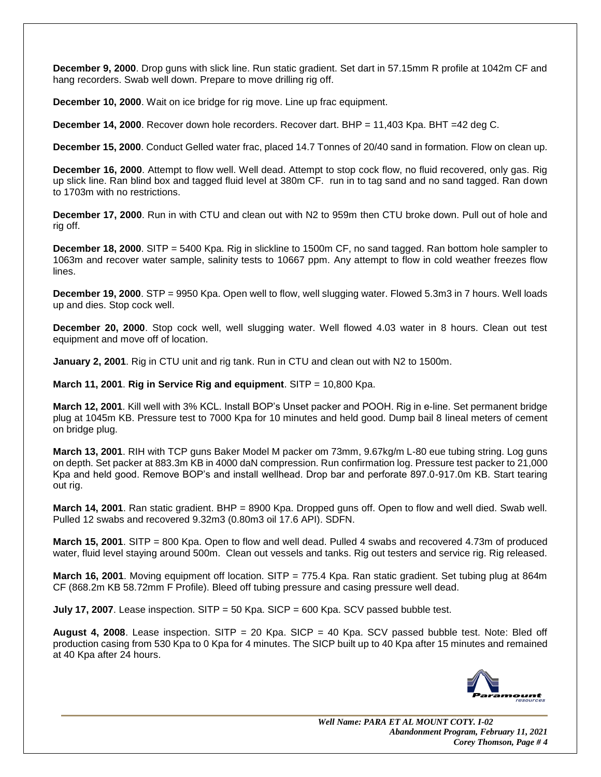**December 9, 2000**. Drop guns with slick line. Run static gradient. Set dart in 57.15mm R profile at 1042m CF and hang recorders. Swab well down. Prepare to move drilling rig off.

**December 10, 2000**. Wait on ice bridge for rig move. Line up frac equipment.

**December 14, 2000**. Recover down hole recorders. Recover dart. BHP = 11,403 Kpa. BHT = 42 deg C.

**December 15, 2000**. Conduct Gelled water frac, placed 14.7 Tonnes of 20/40 sand in formation. Flow on clean up.

**December 16, 2000**. Attempt to flow well. Well dead. Attempt to stop cock flow, no fluid recovered, only gas. Rig up slick line. Ran blind box and tagged fluid level at 380m CF. run in to tag sand and no sand tagged. Ran down to 1703m with no restrictions.

**December 17, 2000**. Run in with CTU and clean out with N2 to 959m then CTU broke down. Pull out of hole and rig off.

**December 18, 2000**. SITP = 5400 Kpa. Rig in slickline to 1500m CF, no sand tagged. Ran bottom hole sampler to 1063m and recover water sample, salinity tests to 10667 ppm. Any attempt to flow in cold weather freezes flow lines.

**December 19, 2000**. STP = 9950 Kpa. Open well to flow, well slugging water. Flowed 5.3m3 in 7 hours. Well loads up and dies. Stop cock well.

**December 20, 2000**. Stop cock well, well slugging water. Well flowed 4.03 water in 8 hours. Clean out test equipment and move off of location.

**January 2, 2001**. Rig in CTU unit and rig tank. Run in CTU and clean out with N2 to 1500m.

**March 11, 2001**. **Rig in Service Rig and equipment**. SITP = 10,800 Kpa.

**March 12, 2001**. Kill well with 3% KCL. Install BOP's Unset packer and POOH. Rig in e-line. Set permanent bridge plug at 1045m KB. Pressure test to 7000 Kpa for 10 minutes and held good. Dump bail 8 lineal meters of cement on bridge plug.

**March 13, 2001**. RIH with TCP guns Baker Model M packer om 73mm, 9.67kg/m L-80 eue tubing string. Log guns on depth. Set packer at 883.3m KB in 4000 daN compression. Run confirmation log. Pressure test packer to 21,000 Kpa and held good. Remove BOP's and install wellhead. Drop bar and perforate 897.0-917.0m KB. Start tearing out rig.

**March 14, 2001**. Ran static gradient. BHP = 8900 Kpa. Dropped guns off. Open to flow and well died. Swab well. Pulled 12 swabs and recovered 9.32m3 (0.80m3 oil 17.6 API). SDFN.

**March 15, 2001**. SITP = 800 Kpa. Open to flow and well dead. Pulled 4 swabs and recovered 4.73m of produced water, fluid level staying around 500m. Clean out vessels and tanks. Rig out testers and service rig. Rig released.

**March 16, 2001**. Moving equipment off location. SITP = 775.4 Kpa. Ran static gradient. Set tubing plug at 864m CF (868.2m KB 58.72mm F Profile). Bleed off tubing pressure and casing pressure well dead.

**July 17, 2007**. Lease inspection. SITP = 50 Kpa. SICP = 600 Kpa. SCV passed bubble test.

**August 4, 2008**. Lease inspection. SITP = 20 Kpa. SICP = 40 Kpa. SCV passed bubble test. Note: Bled off production casing from 530 Kpa to 0 Kpa for 4 minutes. The SICP built up to 40 Kpa after 15 minutes and remained at 40 Kpa after 24 hours.

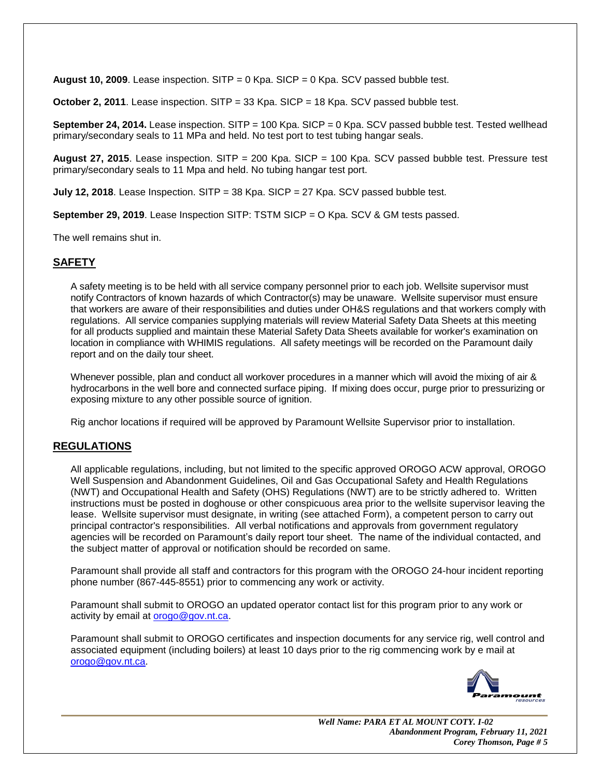**August 10, 2009**. Lease inspection. SITP = 0 Kpa. SICP = 0 Kpa. SCV passed bubble test.

**October 2, 2011**. Lease inspection. SITP = 33 Kpa. SICP = 18 Kpa. SCV passed bubble test.

**September 24, 2014.** Lease inspection. SITP = 100 Kpa. SICP = 0 Kpa. SCV passed bubble test. Tested wellhead primary/secondary seals to 11 MPa and held. No test port to test tubing hangar seals.

**August 27, 2015**. Lease inspection. SITP = 200 Kpa. SICP = 100 Kpa. SCV passed bubble test. Pressure test primary/secondary seals to 11 Mpa and held. No tubing hangar test port.

**July 12, 2018**. Lease Inspection. SITP = 38 Kpa. SICP = 27 Kpa. SCV passed bubble test.

**September 29, 2019**. Lease Inspection SITP: TSTM SICP = O Kpa. SCV & GM tests passed.

The well remains shut in.

## **SAFETY**

A safety meeting is to be held with all service company personnel prior to each job. Wellsite supervisor must notify Contractors of known hazards of which Contractor(s) may be unaware. Wellsite supervisor must ensure that workers are aware of their responsibilities and duties under OH&S regulations and that workers comply with regulations. All service companies supplying materials will review Material Safety Data Sheets at this meeting for all products supplied and maintain these Material Safety Data Sheets available for worker's examination on location in compliance with WHIMIS regulations. All safety meetings will be recorded on the Paramount daily report and on the daily tour sheet.

Whenever possible, plan and conduct all workover procedures in a manner which will avoid the mixing of air & hydrocarbons in the well bore and connected surface piping. If mixing does occur, purge prior to pressurizing or exposing mixture to any other possible source of ignition.

Rig anchor locations if required will be approved by Paramount Wellsite Supervisor prior to installation.

## **REGULATIONS**

All applicable regulations, including, but not limited to the specific approved OROGO ACW approval, OROGO Well Suspension and Abandonment Guidelines, Oil and Gas Occupational Safety and Health Regulations (NWT) and Occupational Health and Safety (OHS) Regulations (NWT) are to be strictly adhered to. Written instructions must be posted in doghouse or other conspicuous area prior to the wellsite supervisor leaving the lease. Wellsite supervisor must designate, in writing (see attached Form), a competent person to carry out principal contractor's responsibilities. All verbal notifications and approvals from government regulatory agencies will be recorded on Paramount's daily report tour sheet. The name of the individual contacted, and the subject matter of approval or notification should be recorded on same.

Paramount shall provide all staff and contractors for this program with the OROGO 24-hour incident reporting phone number (867-445-8551) prior to commencing any work or activity.

Paramount shall submit to OROGO an updated operator contact list for this program prior to any work or activity by email at [orogo@gov.nt.ca.](mailto:orogo@gov.nt.ca)

Paramount shall submit to OROGO certificates and inspection documents for any service rig, well control and associated equipment (including boilers) at least 10 days prior to the rig commencing work by e mail at [orogo@gov.nt.ca.](mailto:orogo@gov.nt.ca)

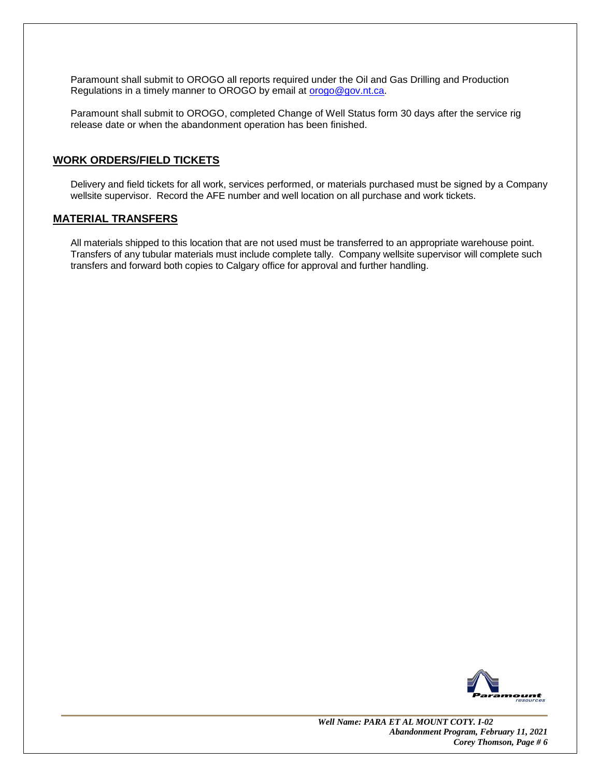Paramount shall submit to OROGO all reports required under the Oil and Gas Drilling and Production Regulations in a timely manner to OROGO by email at **orogo@gov.nt.ca.** 

Paramount shall submit to OROGO, completed Change of Well Status form 30 days after the service rig release date or when the abandonment operation has been finished.

### **WORK ORDERS/FIELD TICKETS**

Delivery and field tickets for all work, services performed, or materials purchased must be signed by a Company wellsite supervisor. Record the AFE number and well location on all purchase and work tickets.

### **MATERIAL TRANSFERS**

All materials shipped to this location that are not used must be transferred to an appropriate warehouse point. Transfers of any tubular materials must include complete tally. Company wellsite supervisor will complete such transfers and forward both copies to Calgary office for approval and further handling.

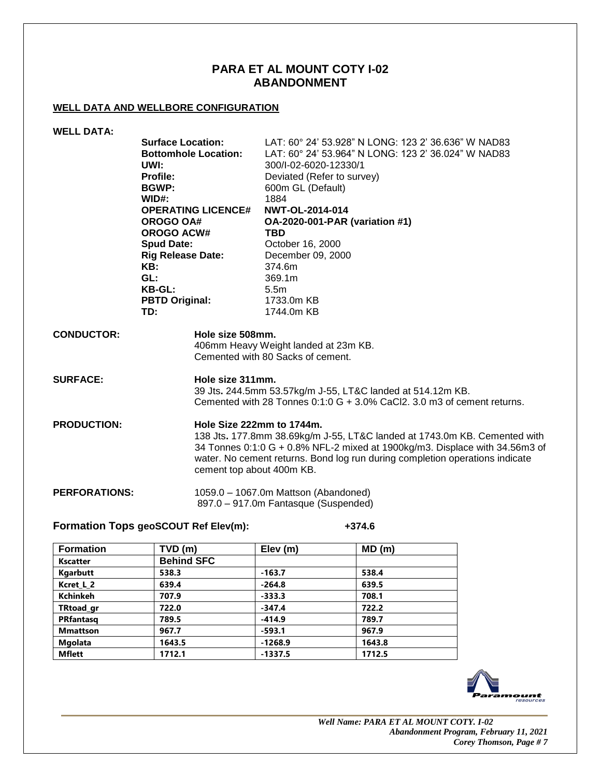## **PARA ET AL MOUNT COTY I-02 ABANDONMENT**

### **WELL DATA AND WELLBORE CONFIGURATION**

| <b>WELL DATA:</b>    |                              |                                                                                                                                                                                                                                                                                                    |  |  |
|----------------------|------------------------------|----------------------------------------------------------------------------------------------------------------------------------------------------------------------------------------------------------------------------------------------------------------------------------------------------|--|--|
|                      | <b>Surface Location:</b>     | LAT: 60° 24' 53.928" N LONG: 123 2' 36.636" W NAD83                                                                                                                                                                                                                                                |  |  |
|                      | <b>Bottomhole Location:</b>  | LAT: 60° 24' 53.964" N LONG: 123 2' 36.024" W NAD83                                                                                                                                                                                                                                                |  |  |
|                      | UWI:                         | 300/I-02-6020-12330/1                                                                                                                                                                                                                                                                              |  |  |
|                      | <b>Profile:</b>              | Deviated (Refer to survey)                                                                                                                                                                                                                                                                         |  |  |
|                      | <b>BGWP:</b>                 | 600m GL (Default)                                                                                                                                                                                                                                                                                  |  |  |
|                      | WID#:                        | 1884                                                                                                                                                                                                                                                                                               |  |  |
|                      | <b>OPERATING LICENCE#</b>    | NWT-OL-2014-014                                                                                                                                                                                                                                                                                    |  |  |
|                      | OROGO OA#                    | <b>OA-2020-001-PAR (variation #1)</b>                                                                                                                                                                                                                                                              |  |  |
|                      | <b>OROGO ACW#</b>            | <b>TBD</b>                                                                                                                                                                                                                                                                                         |  |  |
|                      | <b>Spud Date:</b>            | October 16, 2000                                                                                                                                                                                                                                                                                   |  |  |
|                      | <b>Rig Release Date:</b>     | December 09, 2000                                                                                                                                                                                                                                                                                  |  |  |
|                      | KB:                          | 374.6m                                                                                                                                                                                                                                                                                             |  |  |
|                      | GL:                          | 369.1m                                                                                                                                                                                                                                                                                             |  |  |
|                      | <b>KB-GL:</b>                | 5.5 <sub>m</sub>                                                                                                                                                                                                                                                                                   |  |  |
|                      | <b>PBTD Original:</b><br>TD: | 1733.0m KB<br>1744.0m KB                                                                                                                                                                                                                                                                           |  |  |
|                      |                              |                                                                                                                                                                                                                                                                                                    |  |  |
| <b>CONDUCTOR:</b>    |                              | Hole size 508mm.<br>406mm Heavy Weight landed at 23m KB.<br>Cemented with 80 Sacks of cement.                                                                                                                                                                                                      |  |  |
|                      |                              |                                                                                                                                                                                                                                                                                                    |  |  |
| <b>SURFACE:</b>      |                              | Hole size 311mm.<br>39 Jts. 244.5mm 53.57kg/m J-55, LT&C landed at 514.12m KB.<br>Cemented with 28 Tonnes 0:1:0 G + 3.0% CaCl2, 3.0 m3 of cement returns.                                                                                                                                          |  |  |
| <b>PRODUCTION:</b>   |                              | Hole Size 222mm to 1744m.<br>138 Jts. 177.8mm 38.69kg/m J-55, LT&C landed at 1743.0m KB. Cemented with<br>34 Tonnes 0:1:0 G + 0.8% NFL-2 mixed at 1900kg/m3. Displace with 34.56m3 of<br>water. No cement returns. Bond log run during completion operations indicate<br>cement top about 400m KB. |  |  |
| <b>PERFORATIONS:</b> |                              | 1059.0 - 1067.0m Mattson (Abandoned)<br>897.0 - 917.0m Fantasque (Suspended)                                                                                                                                                                                                                       |  |  |

## **Formation Tops geoSCOUT Ref Elev(m): +374.6**

| <b>Formation</b> | TVD (m)           | Elev $(m)$ | MD(m)  |  |
|------------------|-------------------|------------|--------|--|
| <b>Kscatter</b>  | <b>Behind SFC</b> |            |        |  |
| Kgarbutt         | 538.3             | $-163.7$   | 538.4  |  |
| Kcret L 2        | 639.4             | $-264.8$   | 639.5  |  |
| <b>Kchinkeh</b>  | 707.9             | $-333.3$   | 708.1  |  |
| <b>TRtoad gr</b> | 722.0             | $-347.4$   | 722.2  |  |
| <b>PRfantasq</b> | 789.5             | $-414.9$   | 789.7  |  |
| <b>Mmattson</b>  | 967.7             | $-593.1$   | 967.9  |  |
| <b>Mgolata</b>   | 1643.5            | $-1268.9$  | 1643.8 |  |
| <b>Mflett</b>    | 1712.1            | $-1337.5$  | 1712.5 |  |

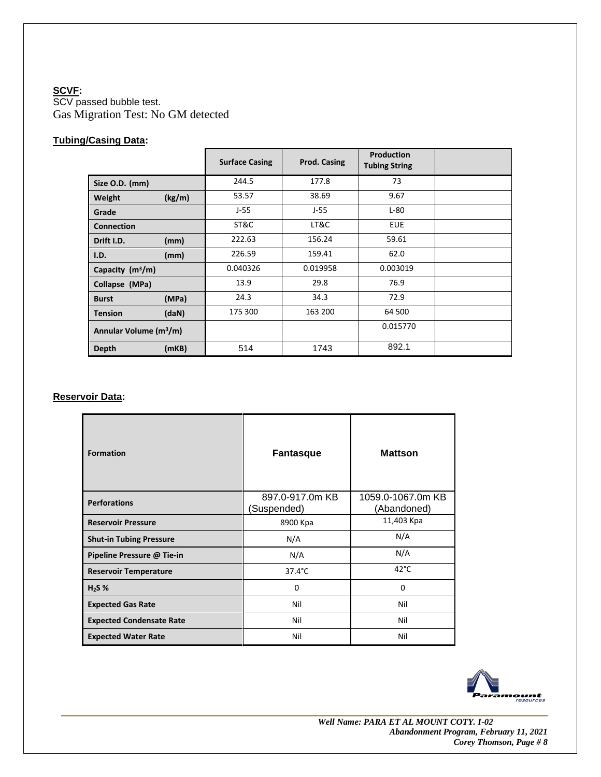## **SCVF:**

SCV passed bubble test. Gas Migration Test: No GM detected

## **Tubing/Casing Data:**

|                                    | <b>Surface Casing</b> | Prod. Casing | Production<br><b>Tubing String</b> |  |
|------------------------------------|-----------------------|--------------|------------------------------------|--|
| Size O.D. (mm)                     | 244.5                 | 177.8        | 73                                 |  |
| (kg/m)<br>Weight                   | 53.57                 | 38.69        | 9.67                               |  |
| Grade                              | J-55                  | $J-55$       | $L-80$                             |  |
| <b>Connection</b>                  | ST&C                  | LT&C         | <b>EUE</b>                         |  |
| Drift I.D.<br>(mm)                 | 222.63                | 156.24       | 59.61                              |  |
| (mm)<br>I.D.                       | 226.59                | 159.41       | 62.0                               |  |
| Capacity (m <sup>3</sup> /m)       | 0.040326              | 0.019958     | 0.003019                           |  |
| Collapse (MPa)                     | 13.9                  | 29.8         | 76.9                               |  |
| (MPa)<br><b>Burst</b>              | 24.3                  | 34.3         | 72.9                               |  |
| (daN)<br><b>Tension</b>            | 175 300               | 163 200      | 64 500                             |  |
| Annular Volume (m <sup>3</sup> /m) |                       |              | 0.015770                           |  |
| (mKB)<br>Depth                     | 514                   | 1743         | 892.1                              |  |

## **Reservoir Data:**

| <b>Formation</b>                | <b>Fantasque</b>               | <b>Mattson</b>                   |  |
|---------------------------------|--------------------------------|----------------------------------|--|
| <b>Perforations</b>             | 897.0-917.0m KB<br>(Suspended) | 1059.0-1067.0m KB<br>(Abandoned) |  |
| <b>Reservoir Pressure</b>       | 8900 Kpa                       | 11,403 Kpa                       |  |
| <b>Shut-in Tubing Pressure</b>  | N/A                            | N/A                              |  |
| Pipeline Pressure @ Tie-in      | N/A                            | N/A                              |  |
| <b>Reservoir Temperature</b>    | $37.4^{\circ}$ C               | $42^{\circ}$ C                   |  |
| $H2S$ %                         | 0                              | 0                                |  |
| <b>Expected Gas Rate</b>        | Nil                            | Nil                              |  |
| <b>Expected Condensate Rate</b> | Nil                            | Nil                              |  |
| <b>Expected Water Rate</b>      | Nil                            | Nil                              |  |

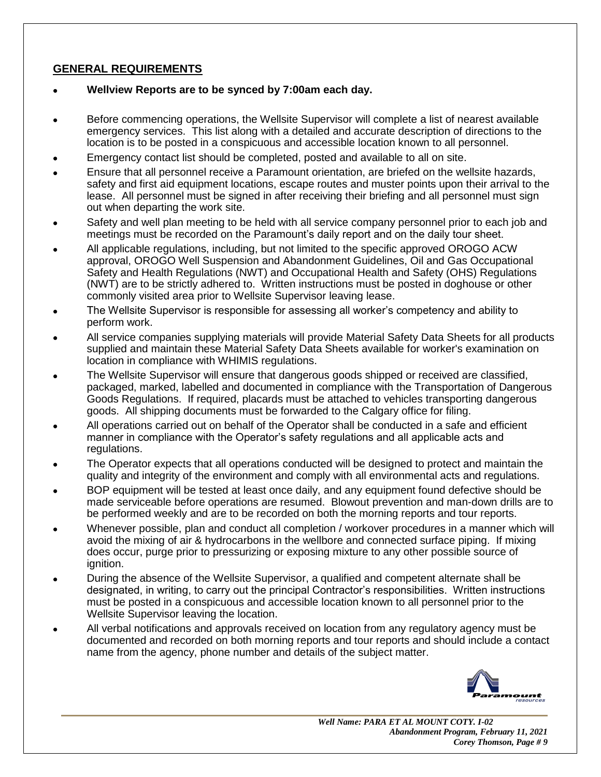# **GENERAL REQUIREMENTS**

- **Wellview Reports are to be synced by 7:00am each day.**
- Before commencing operations, the Wellsite Supervisor will complete a list of nearest available emergency services. This list along with a detailed and accurate description of directions to the location is to be posted in a conspicuous and accessible location known to all personnel.
- Emergency contact list should be completed, posted and available to all on site.
- Ensure that all personnel receive a Paramount orientation, are briefed on the wellsite hazards, safety and first aid equipment locations, escape routes and muster points upon their arrival to the lease. All personnel must be signed in after receiving their briefing and all personnel must sign out when departing the work site.
- Safety and well plan meeting to be held with all service company personnel prior to each job and meetings must be recorded on the Paramount's daily report and on the daily tour sheet.
- All applicable regulations, including, but not limited to the specific approved OROGO ACW approval, OROGO Well Suspension and Abandonment Guidelines, Oil and Gas Occupational Safety and Health Regulations (NWT) and Occupational Health and Safety (OHS) Regulations (NWT) are to be strictly adhered to. Written instructions must be posted in doghouse or other commonly visited area prior to Wellsite Supervisor leaving lease.
- The Wellsite Supervisor is responsible for assessing all worker's competency and ability to perform work.
- All service companies supplying materials will provide Material Safety Data Sheets for all products supplied and maintain these Material Safety Data Sheets available for worker's examination on location in compliance with WHIMIS regulations.
- The Wellsite Supervisor will ensure that dangerous goods shipped or received are classified, packaged, marked, labelled and documented in compliance with the Transportation of Dangerous Goods Regulations. If required, placards must be attached to vehicles transporting dangerous goods. All shipping documents must be forwarded to the Calgary office for filing.
- All operations carried out on behalf of the Operator shall be conducted in a safe and efficient manner in compliance with the Operator's safety regulations and all applicable acts and regulations.
- The Operator expects that all operations conducted will be designed to protect and maintain the quality and integrity of the environment and comply with all environmental acts and regulations.
- BOP equipment will be tested at least once daily, and any equipment found defective should be made serviceable before operations are resumed. Blowout prevention and man-down drills are to be performed weekly and are to be recorded on both the morning reports and tour reports.
- Whenever possible, plan and conduct all completion / workover procedures in a manner which will avoid the mixing of air & hydrocarbons in the wellbore and connected surface piping. If mixing does occur, purge prior to pressurizing or exposing mixture to any other possible source of ignition.
- During the absence of the Wellsite Supervisor, a qualified and competent alternate shall be designated, in writing, to carry out the principal Contractor's responsibilities. Written instructions must be posted in a conspicuous and accessible location known to all personnel prior to the Wellsite Supervisor leaving the location.
- All verbal notifications and approvals received on location from any regulatory agency must be documented and recorded on both morning reports and tour reports and should include a contact name from the agency, phone number and details of the subject matter.

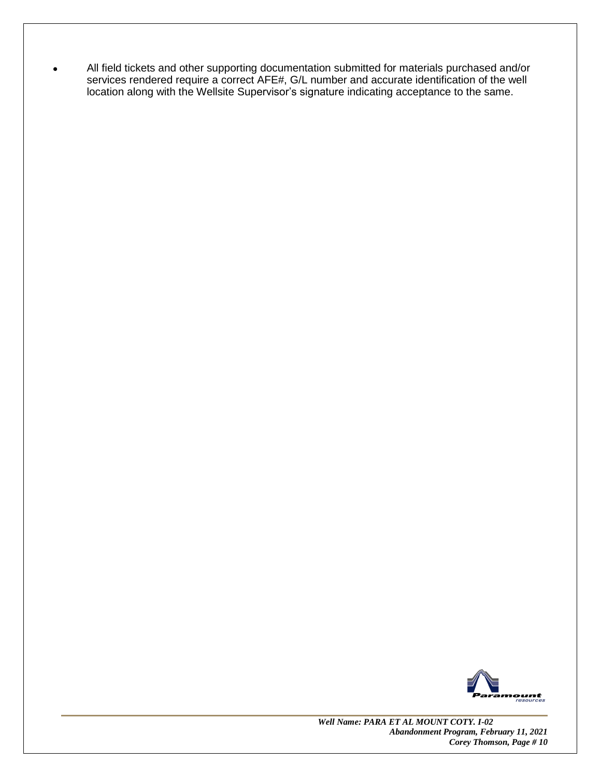• All field tickets and other supporting documentation submitted for materials purchased and/or services rendered require a correct AFE#, G/L number and accurate identification of the well location along with the Wellsite Supervisor's signature indicating acceptance to the same.



 *Well Name: PARA ET AL MOUNT COTY. I-02 Abandonment Program, February 11, 2021 Corey Thomson, Page # 10*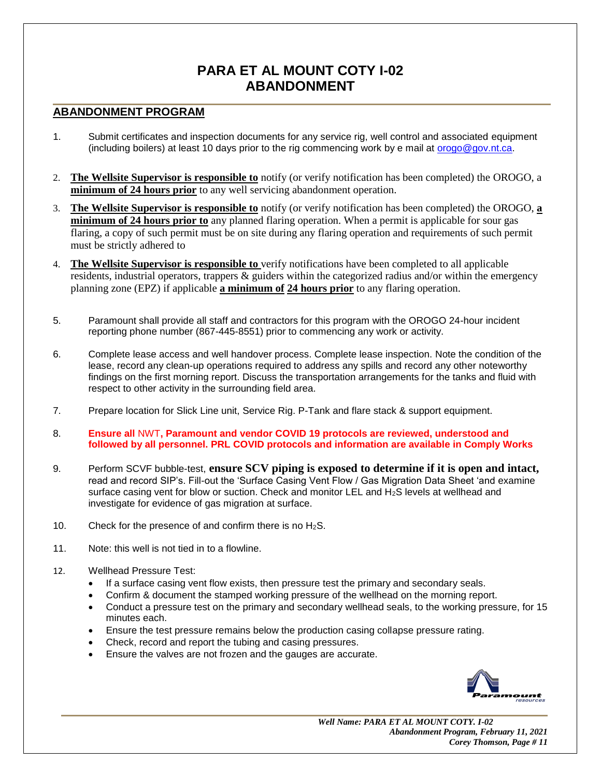# **PARA ET AL MOUNT COTY I-02 ABANDONMENT**

## **ABANDONMENT PROGRAM**

- 1. Submit certificates and inspection documents for any service rig, well control and associated equipment (including boilers) at least 10 days prior to the rig commencing work by e mail at [orogo@gov.nt.ca.](mailto:orogo@gov.nt.ca)
- 2. **The Wellsite Supervisor is responsible to** notify (or verify notification has been completed) the OROGO, a **minimum of 24 hours prior** to any well servicing abandonment operation.
- 3. **The Wellsite Supervisor is responsible to** notify (or verify notification has been completed) the OROGO, **a minimum of 24 hours prior to** any planned flaring operation. When a permit is applicable for sour gas flaring, a copy of such permit must be on site during any flaring operation and requirements of such permit must be strictly adhered to
- 4. **The Wellsite Supervisor is responsible to** verify notifications have been completed to all applicable residents, industrial operators, trappers & guiders within the categorized radius and/or within the emergency planning zone (EPZ) if applicable **a minimum of 24 hours prior** to any flaring operation.
- 5. Paramount shall provide all staff and contractors for this program with the OROGO 24-hour incident reporting phone number (867-445-8551) prior to commencing any work or activity.
- 6. Complete lease access and well handover process. Complete lease inspection. Note the condition of the lease, record any clean-up operations required to address any spills and record any other noteworthy findings on the first morning report. Discuss the transportation arrangements for the tanks and fluid with respect to other activity in the surrounding field area.
- 7. Prepare location for Slick Line unit, Service Rig. P-Tank and flare stack & support equipment.
- 8. **Ensure all** NWT**, Paramount and vendor COVID 19 protocols are reviewed, understood and followed by all personnel. PRL COVID protocols and information are available in Comply Works**
- 9. Perform SCVF bubble-test, **ensure SCV piping is exposed to determine if it is open and intact,** read and record SIP's. Fill-out the 'Surface Casing Vent Flow / Gas Migration Data Sheet 'and examine surface casing vent for blow or suction. Check and monitor LEL and H<sub>2</sub>S levels at wellhead and investigate for evidence of gas migration at surface.
- 10. Check for the presence of and confirm there is no  $H_2S$ .
- 11. Note: this well is not tied in to a flowline.
- 12. Wellhead Pressure Test:
	- If a surface casing vent flow exists, then pressure test the primary and secondary seals.
	- Confirm & document the stamped working pressure of the wellhead on the morning report.
	- Conduct a pressure test on the primary and secondary wellhead seals, to the working pressure, for 15 minutes each.
	- Ensure the test pressure remains below the production casing collapse pressure rating.
	- Check, record and report the tubing and casing pressures.
	- Ensure the valves are not frozen and the gauges are accurate.

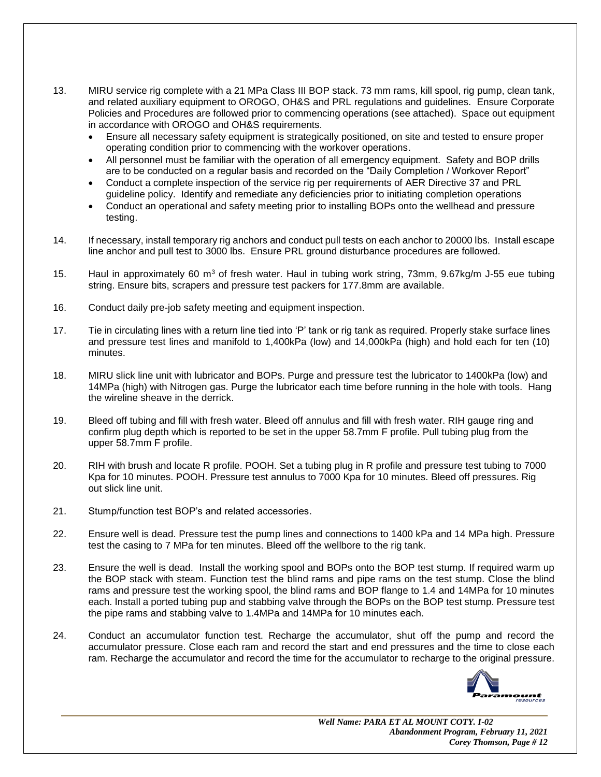- 13. MIRU service rig complete with a 21 MPa Class III BOP stack. 73 mm rams, kill spool, rig pump, clean tank, and related auxiliary equipment to OROGO, OH&S and PRL regulations and guidelines. Ensure Corporate Policies and Procedures are followed prior to commencing operations (see attached). Space out equipment in accordance with OROGO and OH&S requirements.
	- Ensure all necessary safety equipment is strategically positioned, on site and tested to ensure proper operating condition prior to commencing with the workover operations.
	- All personnel must be familiar with the operation of all emergency equipment. Safety and BOP drills are to be conducted on a regular basis and recorded on the "Daily Completion / Workover Report"
	- Conduct a complete inspection of the service rig per requirements of AER Directive 37 and PRL guideline policy. Identify and remediate any deficiencies prior to initiating completion operations
	- Conduct an operational and safety meeting prior to installing BOPs onto the wellhead and pressure testing.
- 14. If necessary, install temporary rig anchors and conduct pull tests on each anchor to 20000 lbs. Install escape line anchor and pull test to 3000 lbs. Ensure PRL ground disturbance procedures are followed.
- 15. Haul in approximately 60 m<sup>3</sup> of fresh water. Haul in tubing work string, 73mm, 9.67kg/m J-55 eue tubing string. Ensure bits, scrapers and pressure test packers for 177.8mm are available.
- 16. Conduct daily pre-job safety meeting and equipment inspection.
- 17. Tie in circulating lines with a return line tied into 'P' tank or rig tank as required. Properly stake surface lines and pressure test lines and manifold to 1,400kPa (low) and 14,000kPa (high) and hold each for ten (10) minutes.
- 18. MIRU slick line unit with lubricator and BOPs. Purge and pressure test the lubricator to 1400kPa (low) and 14MPa (high) with Nitrogen gas. Purge the lubricator each time before running in the hole with tools. Hang the wireline sheave in the derrick.
- 19. Bleed off tubing and fill with fresh water. Bleed off annulus and fill with fresh water. RIH gauge ring and confirm plug depth which is reported to be set in the upper 58.7mm F profile. Pull tubing plug from the upper 58.7mm F profile.
- 20. RIH with brush and locate R profile. POOH. Set a tubing plug in R profile and pressure test tubing to 7000 Kpa for 10 minutes. POOH. Pressure test annulus to 7000 Kpa for 10 minutes. Bleed off pressures. Rig out slick line unit.
- 21. Stump/function test BOP's and related accessories.
- 22. Ensure well is dead. Pressure test the pump lines and connections to 1400 kPa and 14 MPa high. Pressure test the casing to 7 MPa for ten minutes. Bleed off the wellbore to the rig tank.
- 23. Ensure the well is dead. Install the working spool and BOPs onto the BOP test stump. If required warm up the BOP stack with steam. Function test the blind rams and pipe rams on the test stump. Close the blind rams and pressure test the working spool, the blind rams and BOP flange to 1.4 and 14MPa for 10 minutes each. Install a ported tubing pup and stabbing valve through the BOPs on the BOP test stump. Pressure test the pipe rams and stabbing valve to 1.4MPa and 14MPa for 10 minutes each.
- 24. Conduct an accumulator function test. Recharge the accumulator, shut off the pump and record the accumulator pressure. Close each ram and record the start and end pressures and the time to close each ram. Recharge the accumulator and record the time for the accumulator to recharge to the original pressure.

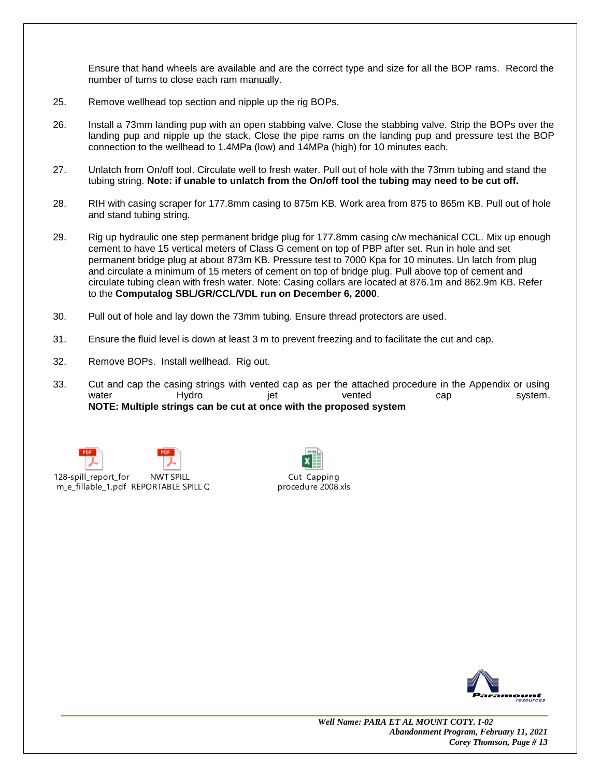Ensure that hand wheels are available and are the correct type and size for all the BOP rams. Record the number of turns to close each ram manually.

- 25. Remove wellhead top section and nipple up the rig BOPs.
- 26. Install a 73mm landing pup with an open stabbing valve. Close the stabbing valve. Strip the BOPs over the landing pup and nipple up the stack. Close the pipe rams on the landing pup and pressure test the BOP connection to the wellhead to 1.4MPa (low) and 14MPa (high) for 10 minutes each.
- 27. Unlatch from On/off tool. Circulate well to fresh water. Pull out of hole with the 73mm tubing and stand the tubing string. **Note: if unable to unlatch from the On/off tool the tubing may need to be cut off.**
- 28. RIH with casing scraper for 177.8mm casing to 875m KB. Work area from 875 to 865m KB. Pull out of hole and stand tubing string.
- 29. Rig up hydraulic one step permanent bridge plug for 177.8mm casing c/w mechanical CCL. Mix up enough cement to have 15 vertical meters of Class G cement on top of PBP after set. Run in hole and set permanent bridge plug at about 873m KB. Pressure test to 7000 Kpa for 10 minutes. Un latch from plug and circulate a minimum of 15 meters of cement on top of bridge plug. Pull above top of cement and circulate tubing clean with fresh water. Note: Casing collars are located at 876.1m and 862.9m KB. Refer to the **Computalog SBL/GR/CCL/VDL run on December 6, 2000**.
- 30. Pull out of hole and lay down the 73mm tubing. Ensure thread protectors are used.
- 31. Ensure the fluid level is down at least 3 m to prevent freezing and to facilitate the cut and cap.
- 32. Remove BOPs. Install wellhead. Rig out.
- 33. Cut and cap the casing strings with vented cap as per the attached procedure in the Appendix or using water Hydro jet vented cap system. **NOTE: Multiple strings can be cut at once with the proposed system**



m\_e\_fillable\_1.pdf REPORTABLE SPILL QUANTITIES.pdf



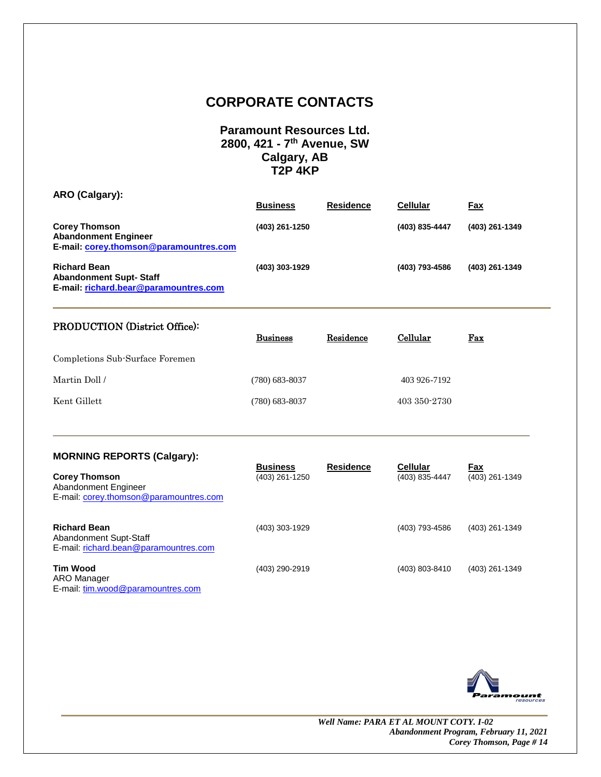# **CORPORATE CONTACTS**

## **Paramount Resources Ltd. 2800, 421 - 7 th Avenue, SW Calgary, AB T2P 4KP**

| ARO (Calgary):                                                                                | <b>Business</b> | <b>Residence</b> | <b>Cellular</b> | Fax            |
|-----------------------------------------------------------------------------------------------|-----------------|------------------|-----------------|----------------|
| <b>Corey Thomson</b><br><b>Abandonment Engineer</b><br>E-mail: corey.thomson@paramountres.com | (403) 261-1250  |                  | (403) 835-4447  | (403) 261-1349 |
| <b>Richard Bean</b><br><b>Abandonment Supt-Staff</b><br>E-mail: richard.bear@paramountres.com | (403) 303-1929  |                  | (403) 793-4586  | (403) 261-1349 |

| <b>PRODUCTION</b> (District Office): |                  |           |              |            |
|--------------------------------------|------------------|-----------|--------------|------------|
|                                      | <b>Business</b>  | Residence | Cellular     | <u>Fax</u> |
| Completions Sub-Surface Foremen      |                  |           |              |            |
| Martin Doll /                        | $(780)$ 683-8037 |           | 403 926-7192 |            |
| Kent Gillett                         | (780) 683-8037   |           | 403 350 2730 |            |

## **MORNING REPORTS (Calgary):**

| <b>Corey Thomson</b><br>Abandonment Engineer<br>E-mail: corey.thomson@paramountres.com | <b>Business</b><br>(403) 261-1250 | <b>Residence</b> | <b>Cellular</b><br>(403) 835-4447 | Fax<br>(403) 261-1349 |
|----------------------------------------------------------------------------------------|-----------------------------------|------------------|-----------------------------------|-----------------------|
| <b>Richard Bean</b><br>Abandonment Supt-Staff<br>E-mail: richard.bean@paramountres.com | (403) 303-1929                    |                  | (403) 793-4586                    | (403) 261-1349        |
| <b>Tim Wood</b><br>ARO Manager<br>E-mail: tim.wood@paramountres.com                    | (403) 290-2919                    |                  | (403) 803-8410                    | (403) 261-1349        |

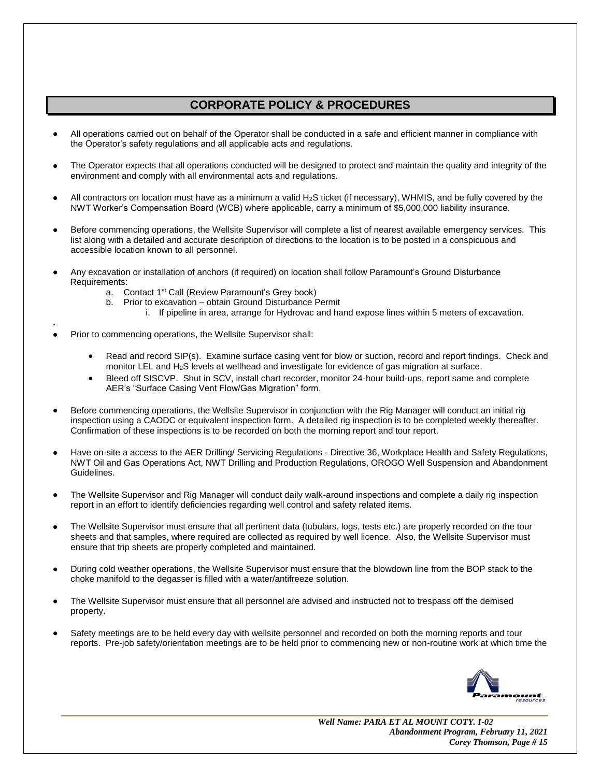# **CORPORATE POLICY & PROCEDURES**

- All operations carried out on behalf of the Operator shall be conducted in a safe and efficient manner in compliance with the Operator's safety regulations and all applicable acts and regulations.
- The Operator expects that all operations conducted will be designed to protect and maintain the quality and integrity of the environment and comply with all environmental acts and regulations.
- All contractors on location must have as a minimum a valid H2S ticket (if necessary), WHMIS, and be fully covered by the NWT Worker's Compensation Board (WCB) where applicable, carry a minimum of \$5,000,000 liability insurance.
- Before commencing operations, the Wellsite Supervisor will complete a list of nearest available emergency services. This list along with a detailed and accurate description of directions to the location is to be posted in a conspicuous and accessible location known to all personnel.
- Any excavation or installation of anchors (if required) on location shall follow Paramount's Ground Disturbance Requirements:
	- a. Contact 1<sup>st</sup> Call (Review Paramount's Grey book)
	- b. Prior to excavation obtain Ground Disturbance Permit
		- i. If pipeline in area, arrange for Hydrovac and hand expose lines within 5 meters of excavation.
- Prior to commencing operations, the Wellsite Supervisor shall:

**.**

- Read and record SIP(s). Examine surface casing vent for blow or suction, record and report findings. Check and monitor LEL and H2S levels at wellhead and investigate for evidence of gas migration at surface.
- Bleed off SISCVP. Shut in SCV, install chart recorder, monitor 24-hour build-ups, report same and complete AER's "Surface Casing Vent Flow/Gas Migration" form.
- Before commencing operations, the Wellsite Supervisor in conjunction with the Rig Manager will conduct an initial rig inspection using a CAODC or equivalent inspection form. A detailed rig inspection is to be completed weekly thereafter. Confirmation of these inspections is to be recorded on both the morning report and tour report.
- Have on-site a access to the AER Drilling/ Servicing Regulations Directive 36, Workplace Health and Safety Regulations, NWT Oil and Gas Operations Act, NWT Drilling and Production Regulations, OROGO Well Suspension and Abandonment Guidelines.
- The Wellsite Supervisor and Rig Manager will conduct daily walk-around inspections and complete a daily rig inspection report in an effort to identify deficiencies regarding well control and safety related items.
- The Wellsite Supervisor must ensure that all pertinent data (tubulars, logs, tests etc.) are properly recorded on the tour sheets and that samples, where required are collected as required by well licence. Also, the Wellsite Supervisor must ensure that trip sheets are properly completed and maintained.
- During cold weather operations, the Wellsite Supervisor must ensure that the blowdown line from the BOP stack to the choke manifold to the degasser is filled with a water/antifreeze solution.
- The Wellsite Supervisor must ensure that all personnel are advised and instructed not to trespass off the demised property.
- Safety meetings are to be held every day with wellsite personnel and recorded on both the morning reports and tour reports. Pre-job safety/orientation meetings are to be held prior to commencing new or non-routine work at which time the

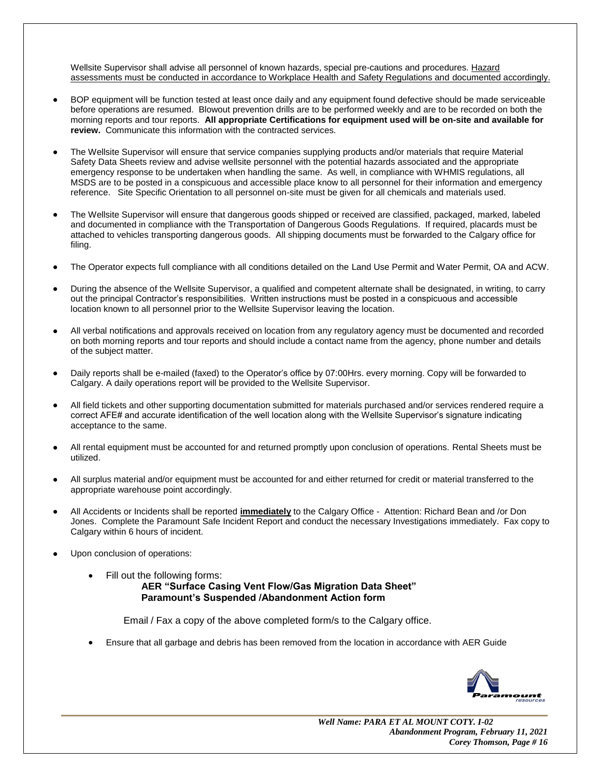Wellsite Supervisor shall advise all personnel of known hazards, special pre-cautions and procedures. Hazard assessments must be conducted in accordance to Workplace Health and Safety Regulations and documented accordingly.

- BOP equipment will be function tested at least once daily and any equipment found defective should be made serviceable before operations are resumed. Blowout prevention drills are to be performed weekly and are to be recorded on both the morning reports and tour reports. **All appropriate Certifications for equipment used will be on-site and available for review.** Communicate this information with the contracted services.
- The Wellsite Supervisor will ensure that service companies supplying products and/or materials that require Material Safety Data Sheets review and advise wellsite personnel with the potential hazards associated and the appropriate emergency response to be undertaken when handling the same. As well, in compliance with WHMIS regulations, all MSDS are to be posted in a conspicuous and accessible place know to all personnel for their information and emergency reference. Site Specific Orientation to all personnel on-site must be given for all chemicals and materials used.
- The Wellsite Supervisor will ensure that dangerous goods shipped or received are classified, packaged, marked, labeled and documented in compliance with the Transportation of Dangerous Goods Regulations. If required, placards must be attached to vehicles transporting dangerous goods. All shipping documents must be forwarded to the Calgary office for filing.
- The Operator expects full compliance with all conditions detailed on the Land Use Permit and Water Permit, OA and ACW.
- During the absence of the Wellsite Supervisor, a qualified and competent alternate shall be designated, in writing, to carry out the principal Contractor's responsibilities. Written instructions must be posted in a conspicuous and accessible location known to all personnel prior to the Wellsite Supervisor leaving the location.
- All verbal notifications and approvals received on location from any regulatory agency must be documented and recorded on both morning reports and tour reports and should include a contact name from the agency, phone number and details of the subject matter.
- Daily reports shall be e-mailed (faxed) to the Operator's office by 07:00Hrs. every morning. Copy will be forwarded to Calgary. A daily operations report will be provided to the Wellsite Supervisor.
- All field tickets and other supporting documentation submitted for materials purchased and/or services rendered require a correct AFE# and accurate identification of the well location along with the Wellsite Supervisor's signature indicating acceptance to the same.
- All rental equipment must be accounted for and returned promptly upon conclusion of operations. Rental Sheets must be utilized.
- All surplus material and/or equipment must be accounted for and either returned for credit or material transferred to the appropriate warehouse point accordingly.
- All Accidents or Incidents shall be reported **immediately** to the Calgary Office Attention: Richard Bean and /or Don Jones. Complete the Paramount Safe Incident Report and conduct the necessary Investigations immediately. Fax copy to Calgary within 6 hours of incident.
- Upon conclusion of operations:
	- Fill out the following forms: **AER "Surface Casing Vent Flow/Gas Migration Data Sheet" Paramount's Suspended /Abandonment Action form**

Email / Fax a copy of the above completed form/s to the Calgary office.

• Ensure that all garbage and debris has been removed from the location in accordance with AER Guide

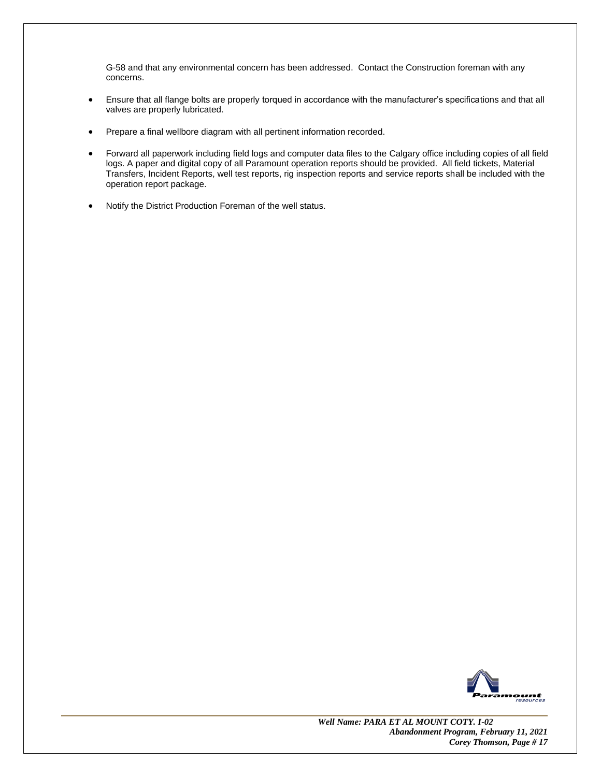G-58 and that any environmental concern has been addressed. Contact the Construction foreman with any concerns.

- Ensure that all flange bolts are properly torqued in accordance with the manufacturer's specifications and that all valves are properly lubricated.
- Prepare a final wellbore diagram with all pertinent information recorded.
- Forward all paperwork including field logs and computer data files to the Calgary office including copies of all field logs. A paper and digital copy of all Paramount operation reports should be provided. All field tickets, Material Transfers, Incident Reports, well test reports, rig inspection reports and service reports shall be included with the operation report package.
- Notify the District Production Foreman of the well status.

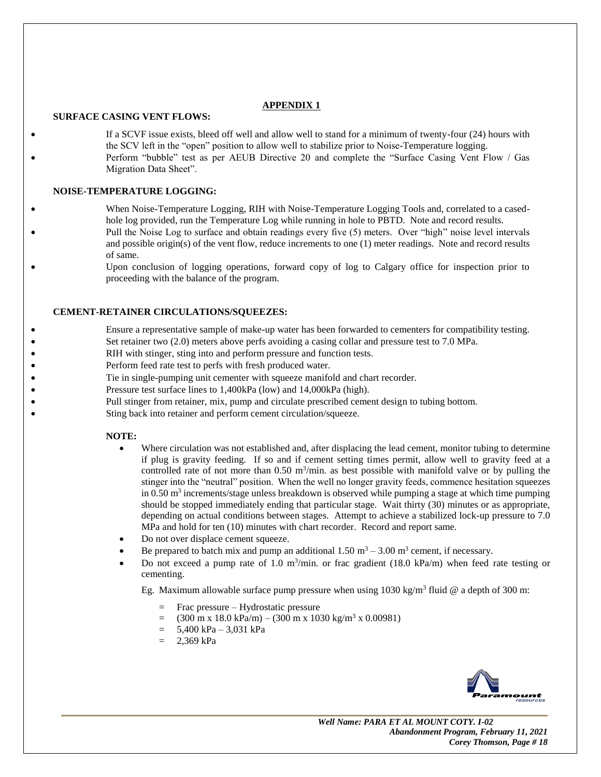## **APPENDIX 1**

### **SURFACE CASING VENT FLOWS:**

If a SCVF issue exists, bleed off well and allow well to stand for a minimum of twenty-four (24) hours with the SCV left in the "open" position to allow well to stabilize prior to Noise-Temperature logging. Perform "bubble" test as per AEUB Directive 20 and complete the "Surface Casing Vent Flow / Gas Migration Data Sheet".

### **NOISE-TEMPERATURE LOGGING:**

- When Noise-Temperature Logging, RIH with Noise-Temperature Logging Tools and, correlated to a casedhole log provided, run the Temperature Log while running in hole to PBTD. Note and record results. • Pull the Noise Log to surface and obtain readings every five (5) meters. Over "high" noise level intervals and possible origin(s) of the vent flow, reduce increments to one (1) meter readings. Note and record results of same.
- Upon conclusion of logging operations, forward copy of log to Calgary office for inspection prior to proceeding with the balance of the program.

### **CEMENT-RETAINER CIRCULATIONS/SQUEEZES:**

- Ensure a representative sample of make-up water has been forwarded to cementers for compatibility testing.
- Set retainer two (2.0) meters above perfs avoiding a casing collar and pressure test to 7.0 MPa.
- RIH with stinger, sting into and perform pressure and function tests.
- Perform feed rate test to perfs with fresh produced water.
- Tie in single-pumping unit cementer with squeeze manifold and chart recorder.
- Pressure test surface lines to 1,400kPa (low) and 14,000kPa (high).
- Pull stinger from retainer, mix, pump and circulate prescribed cement design to tubing bottom.
- Sting back into retainer and perform cement circulation/squeeze.

### **NOTE:**

- Where circulation was not established and, after displacing the lead cement, monitor tubing to determine if plug is gravity feeding. If so and if cement setting times permit, allow well to gravity feed at a controlled rate of not more than  $0.50 \text{ m}^3/\text{min}$ . as best possible with manifold valve or by pulling the stinger into the "neutral" position. When the well no longer gravity feeds, commence hesitation squeezes in 0.50  $\text{m}^3$  increments/stage unless breakdown is observed while pumping a stage at which time pumping should be stopped immediately ending that particular stage. Wait thirty (30) minutes or as appropriate, depending on actual conditions between stages. Attempt to achieve a stabilized lock-up pressure to 7.0 MPa and hold for ten (10) minutes with chart recorder. Record and report same.
- Do not over displace cement squeeze.
- Be prepared to batch mix and pump an additional  $1.50 \text{ m}^3 3.00 \text{ m}^3$  cement, if necessary.
- Do not exceed a pump rate of 1.0 m<sup>3</sup>/min. or frac gradient (18.0 kPa/m) when feed rate testing or cementing.

Eg. Maximum allowable surface pump pressure when using  $1030 \text{ kg/m}^3$  fluid @ a depth of 300 m:

- = Frac pressure Hydrostatic pressure
- $=$  (300 m x 18.0 kPa/m) (300 m x 1030 kg/m<sup>3</sup> x 0.00981)
- $= 5,400 \text{ kPa} 3,031 \text{ kPa}$
- $= 2.369$  kPa

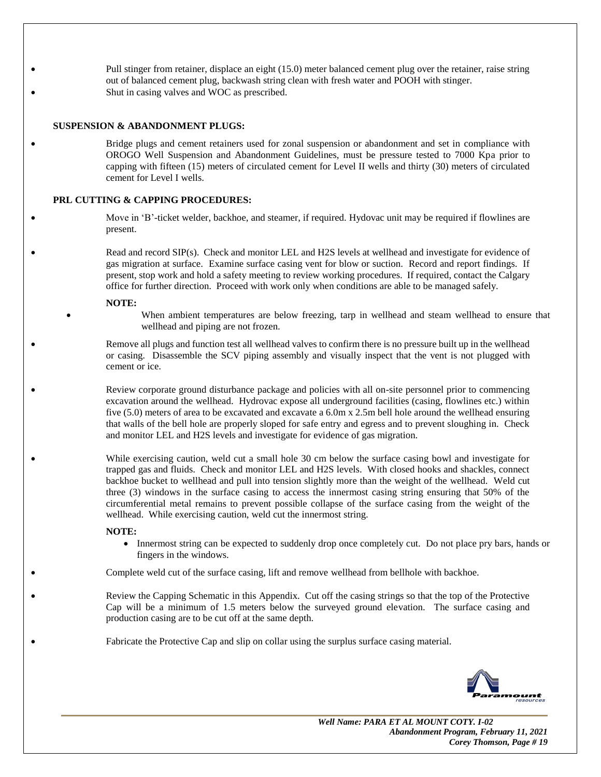• Pull stinger from retainer, displace an eight (15.0) meter balanced cement plug over the retainer, raise string out of balanced cement plug, backwash string clean with fresh water and POOH with stinger. Shut in casing valves and WOC as prescribed.

#### **SUSPENSION & ABANDONMENT PLUGS:**

• Bridge plugs and cement retainers used for zonal suspension or abandonment and set in compliance with OROGO Well Suspension and Abandonment Guidelines, must be pressure tested to 7000 Kpa prior to capping with fifteen (15) meters of circulated cement for Level II wells and thirty (30) meters of circulated cement for Level I wells.

### **PRL CUTTING & CAPPING PROCEDURES:**

• Move in 'B'-ticket welder, backhoe, and steamer, if required. Hydovac unit may be required if flowlines are present.

Read and record SIP(s). Check and monitor LEL and H2S levels at wellhead and investigate for evidence of gas migration at surface. Examine surface casing vent for blow or suction. Record and report findings. If present, stop work and hold a safety meeting to review working procedures. If required, contact the Calgary office for further direction. Proceed with work only when conditions are able to be managed safely.

#### **NOTE:**

When ambient temperatures are below freezing, tarp in wellhead and steam wellhead to ensure that wellhead and piping are not frozen.

• Remove all plugs and function test all wellhead valves to confirm there is no pressure built up in the wellhead or casing. Disassemble the SCV piping assembly and visually inspect that the vent is not plugged with cement or ice.

• Review corporate ground disturbance package and policies with all on-site personnel prior to commencing excavation around the wellhead. Hydrovac expose all underground facilities (casing, flowlines etc.) within five (5.0) meters of area to be excavated and excavate a 6.0m x 2.5m bell hole around the wellhead ensuring that walls of the bell hole are properly sloped for safe entry and egress and to prevent sloughing in. Check and monitor LEL and H2S levels and investigate for evidence of gas migration.

While exercising caution, weld cut a small hole 30 cm below the surface casing bowl and investigate for trapped gas and fluids. Check and monitor LEL and H2S levels. With closed hooks and shackles, connect backhoe bucket to wellhead and pull into tension slightly more than the weight of the wellhead. Weld cut three (3) windows in the surface casing to access the innermost casing string ensuring that 50% of the circumferential metal remains to prevent possible collapse of the surface casing from the weight of the wellhead. While exercising caution, weld cut the innermost string.

### **NOTE:**

• Innermost string can be expected to suddenly drop once completely cut. Do not place pry bars, hands or fingers in the windows.

• Complete weld cut of the surface casing, lift and remove wellhead from bellhole with backhoe.

• Review the Capping Schematic in this Appendix. Cut off the casing strings so that the top of the Protective Cap will be a minimum of 1.5 meters below the surveyed ground elevation. The surface casing and production casing are to be cut off at the same depth.

• Fabricate the Protective Cap and slip on collar using the surplus surface casing material.

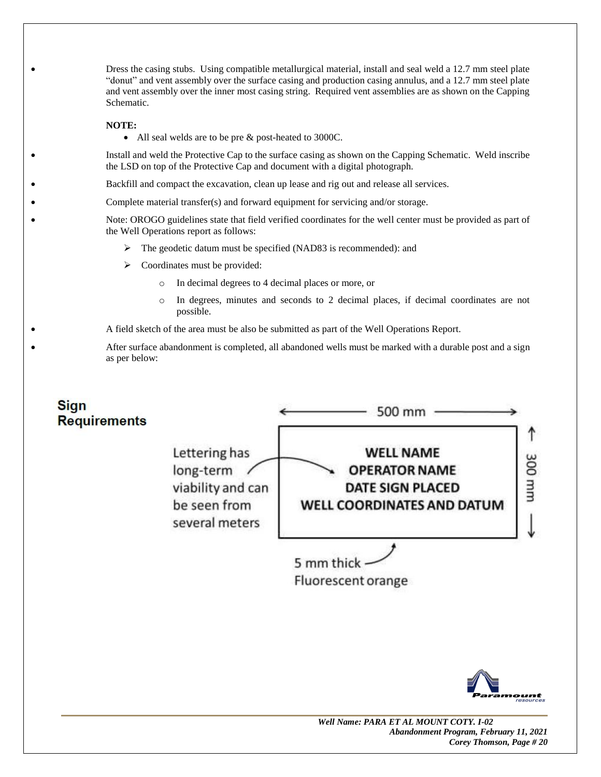• Dress the casing stubs. Using compatible metallurgical material, install and seal weld a 12.7 mm steel plate "donut" and vent assembly over the surface casing and production casing annulus, and a 12.7 mm steel plate and vent assembly over the inner most casing string. Required vent assemblies are as shown on the Capping Schematic.

### **NOTE:**

• All seal welds are to be pre & post-heated to 3000C.

• Install and weld the Protective Cap to the surface casing as shown on the Capping Schematic. Weld inscribe the LSD on top of the Protective Cap and document with a digital photograph.

• Backfill and compact the excavation, clean up lease and rig out and release all services.

Complete material transfer(s) and forward equipment for servicing and/or storage.

• Note: OROGO guidelines state that field verified coordinates for the well center must be provided as part of the Well Operations report as follows:

- ➢ The geodetic datum must be specified (NAD83 is recommended): and
- $\triangleright$  Coordinates must be provided:
	- o In decimal degrees to 4 decimal places or more, or
	- o In degrees, minutes and seconds to 2 decimal places, if decimal coordinates are not possible.

• A field sketch of the area must be also be submitted as part of the Well Operations Report.

• After surface abandonment is completed, all abandoned wells must be marked with a durable post and a sign as per below: